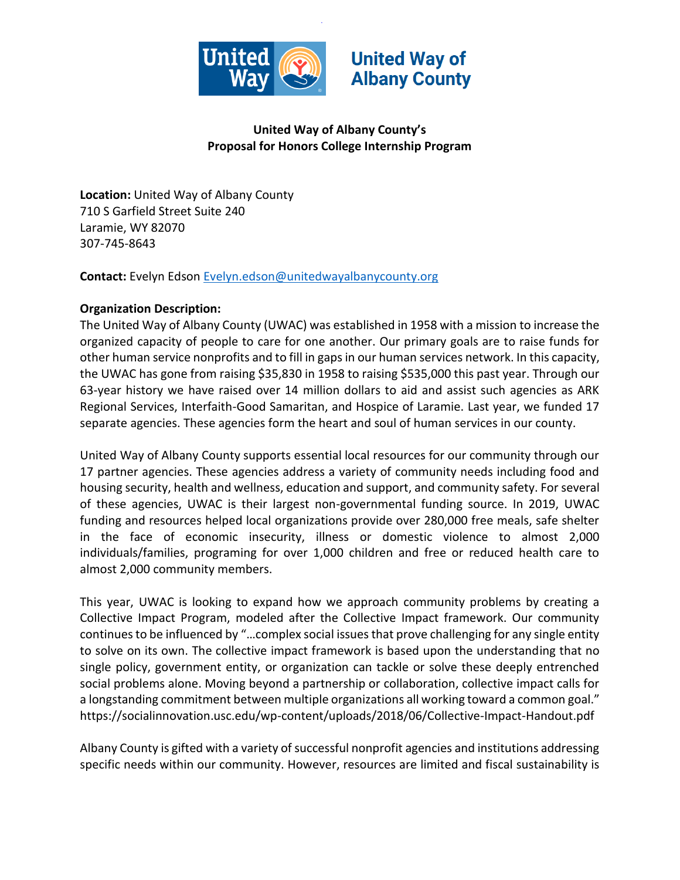

# **United Way of Albany County**

## **United Way of Albany County's Proposal for Honors College Internship Program**

**Location:** United Way of Albany County 710 S Garfield Street Suite 240 Laramie, WY 82070 307-745-8643

**Contact:** Evelyn Edson [Evelyn.edson@unitedwayalbanycounty.org](mailto:Evelyn.edson@unitedwayalbanycounty.org)

#### **Organization Description:**

The United Way of Albany County (UWAC) was established in 1958 with a mission to increase the organized capacity of people to care for one another. Our primary goals are to raise funds for other human service nonprofits and to fill in gaps in our human services network. In this capacity, the UWAC has gone from raising \$35,830 in 1958 to raising \$535,000 this past year. Through our 63-year history we have raised over 14 million dollars to aid and assist such agencies as ARK Regional Services, Interfaith-Good Samaritan, and Hospice of Laramie. Last year, we funded 17 separate agencies. These agencies form the heart and soul of human services in our county.

United Way of Albany County supports essential local resources for our community through our 17 partner agencies. These agencies address a variety of community needs including food and housing security, health and wellness, education and support, and community safety. For several of these agencies, UWAC is their largest non-governmental funding source. In 2019, UWAC funding and resources helped local organizations provide over 280,000 free meals, safe shelter in the face of economic insecurity, illness or domestic violence to almost 2,000 individuals/families, programing for over 1,000 children and free or reduced health care to almost 2,000 community members.

This year, UWAC is looking to expand how we approach community problems by creating a Collective Impact Program, modeled after the Collective Impact framework. Our community continues to be influenced by "…complex social issues that prove challenging for any single entity to solve on its own. The collective impact framework is based upon the understanding that no single policy, government entity, or organization can tackle or solve these deeply entrenched social problems alone. Moving beyond a partnership or collaboration, collective impact calls for a longstanding commitment between multiple organizations all working toward a common goal." https://socialinnovation.usc.edu/wp-content/uploads/2018/06/Collective-Impact-Handout.pdf

Albany County is gifted with a variety of successful nonprofit agencies and institutions addressing specific needs within our community. However, resources are limited and fiscal sustainability is